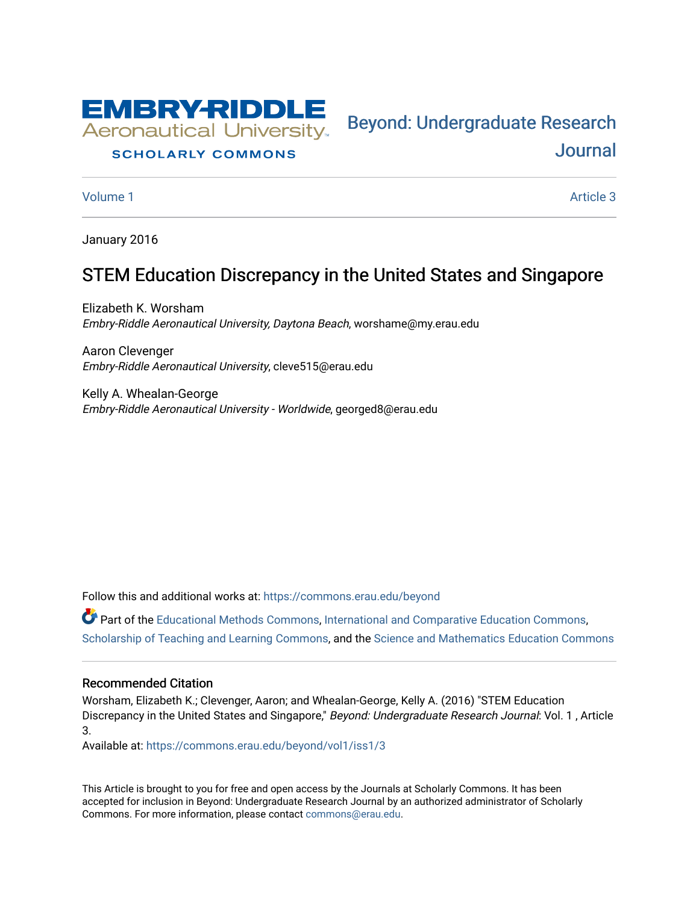

#### **SCHOLARLY COMMONS**

[Volume 1](https://commons.erau.edu/beyond/vol1) Article 3

[Journal](https://commons.erau.edu/beyond) 

Bey[ond: Undergraduate Resear](https://commons.erau.edu/beyond)ch

January 2016

# STEM Education Discrepancy in the United States and Singapore

Elizabeth K. Worsham Embry-Riddle Aeronautical University, Daytona Beach, worshame@my.erau.edu

Aaron Clevenger Embry-Riddle Aeronautical University, cleve515@erau.edu

Kelly A. Whealan-George Embry-Riddle Aeronautical University - Worldwide, georged8@erau.edu

Follow this and additional works at: [https://commons.erau.edu/beyond](https://commons.erau.edu/beyond?utm_source=commons.erau.edu%2Fbeyond%2Fvol1%2Fiss1%2F3&utm_medium=PDF&utm_campaign=PDFCoverPages) 

Part of the [Educational Methods Commons,](http://network.bepress.com/hgg/discipline/1227?utm_source=commons.erau.edu%2Fbeyond%2Fvol1%2Fiss1%2F3&utm_medium=PDF&utm_campaign=PDFCoverPages) [International and Comparative Education Commons,](http://network.bepress.com/hgg/discipline/797?utm_source=commons.erau.edu%2Fbeyond%2Fvol1%2Fiss1%2F3&utm_medium=PDF&utm_campaign=PDFCoverPages) [Scholarship of Teaching and Learning Commons,](http://network.bepress.com/hgg/discipline/1328?utm_source=commons.erau.edu%2Fbeyond%2Fvol1%2Fiss1%2F3&utm_medium=PDF&utm_campaign=PDFCoverPages) and the [Science and Mathematics Education Commons](http://network.bepress.com/hgg/discipline/800?utm_source=commons.erau.edu%2Fbeyond%2Fvol1%2Fiss1%2F3&utm_medium=PDF&utm_campaign=PDFCoverPages)

#### Recommended Citation

Worsham, Elizabeth K.; Clevenger, Aaron; and Whealan-George, Kelly A. (2016) "STEM Education Discrepancy in the United States and Singapore," Beyond: Undergraduate Research Journal: Vol. 1, Article 3.

Available at: [https://commons.erau.edu/beyond/vol1/iss1/3](https://commons.erau.edu/beyond/vol1/iss1/3?utm_source=commons.erau.edu%2Fbeyond%2Fvol1%2Fiss1%2F3&utm_medium=PDF&utm_campaign=PDFCoverPages) 

This Article is brought to you for free and open access by the Journals at Scholarly Commons. It has been accepted for inclusion in Beyond: Undergraduate Research Journal by an authorized administrator of Scholarly Commons. For more information, please contact [commons@erau.edu.](mailto:commons@erau.edu)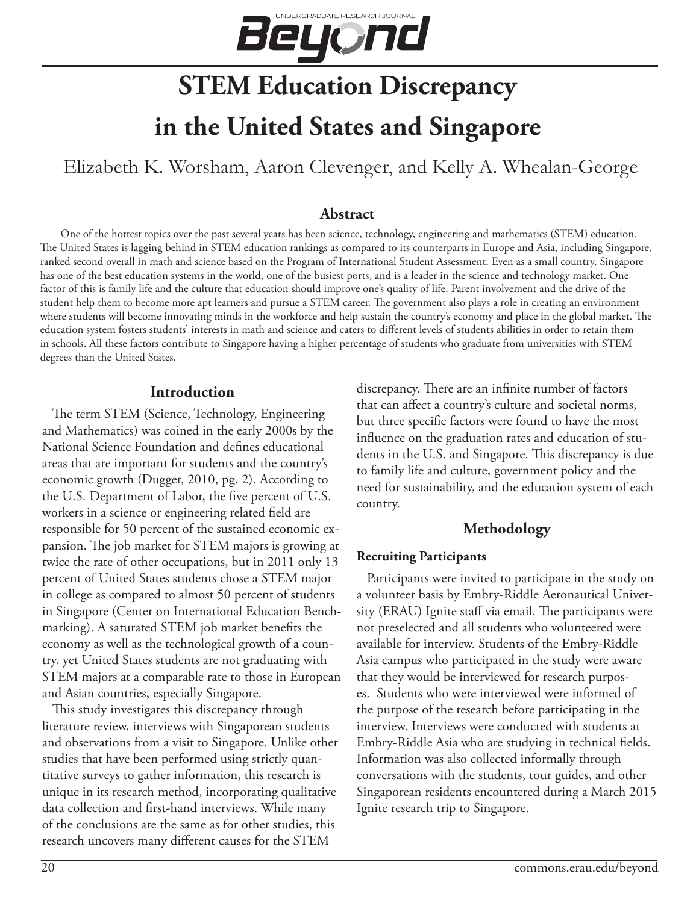

# **STEM Education Discrepancy**

# **in the United States and Singapore**

Elizabeth K. Worsham, Aaron Clevenger, and Kelly A. Whealan-George

#### **Abstract**

One of the hottest topics over the past several years has been science, technology, engineering and mathematics (STEM) education. The United States is lagging behind in STEM education rankings as compared to its counterparts in Europe and Asia, including Singapore, ranked second overall in math and science based on the Program of International Student Assessment. Even as a small country, Singapore has one of the best education systems in the world, one of the busiest ports, and is a leader in the science and technology market. One factor of this is family life and the culture that education should improve one's quality of life. Parent involvement and the drive of the student help them to become more apt learners and pursue a STEM career. The government also plays a role in creating an environment where students will become innovating minds in the workforce and help sustain the country's economy and place in the global market. The education system fosters students' interests in math and science and caters to different levels of students abilities in order to retain them in schools. All these factors contribute to Singapore having a higher percentage of students who graduate from universities with STEM degrees than the United States.

#### **Introduction**

The term STEM (Science, Technology, Engineering and Mathematics) was coined in the early 2000s by the National Science Foundation and defines educational areas that are important for students and the country's economic growth (Dugger, 2010, pg. 2). According to the U.S. Department of Labor, the five percent of U.S. workers in a science or engineering related field are responsible for 50 percent of the sustained economic expansion. The job market for STEM majors is growing at twice the rate of other occupations, but in 2011 only 13 percent of United States students chose a STEM major in college as compared to almost 50 percent of students in Singapore (Center on International Education Benchmarking). A saturated STEM job market benefits the economy as well as the technological growth of a country, yet United States students are not graduating with STEM majors at a comparable rate to those in European and Asian countries, especially Singapore.

This study investigates this discrepancy through literature review, interviews with Singaporean students and observations from a visit to Singapore. Unlike other studies that have been performed using strictly quantitative surveys to gather information, this research is unique in its research method, incorporating qualitative data collection and first-hand interviews. While many of the conclusions are the same as for other studies, this research uncovers many different causes for the STEM

discrepancy. There are an infinite number of factors that can affect a country's culture and societal norms, but three specific factors were found to have the most influence on the graduation rates and education of students in the U.S. and Singapore. This discrepancy is due to family life and culture, government policy and the need for sustainability, and the education system of each country.

# **Methodology**

#### **Recruiting Participants**

Participants were invited to participate in the study on a volunteer basis by Embry-Riddle Aeronautical University (ERAU) Ignite staff via email. The participants were not preselected and all students who volunteered were available for interview. Students of the Embry-Riddle Asia campus who participated in the study were aware that they would be interviewed for research purposes. Students who were interviewed were informed of the purpose of the research before participating in the interview. Interviews were conducted with students at Embry-Riddle Asia who are studying in technical fields. Information was also collected informally through conversations with the students, tour guides, and other Singaporean residents encountered during a March 2015 Ignite research trip to Singapore.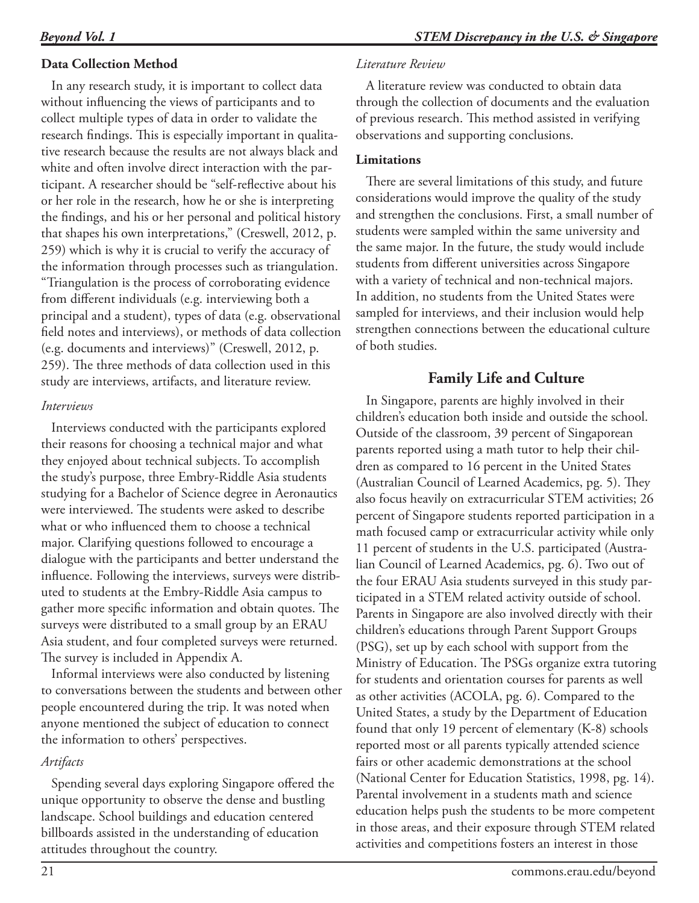# **Data Collection Method**

In any research study, it is important to collect data without influencing the views of participants and to collect multiple types of data in order to validate the research findings. This is especially important in qualitative research because the results are not always black and white and often involve direct interaction with the participant. A researcher should be "self-reflective about his or her role in the research, how he or she is interpreting the findings, and his or her personal and political history that shapes his own interpretations," (Creswell, 2012, p. 259) which is why it is crucial to verify the accuracy of the information through processes such as triangulation. "Triangulation is the process of corroborating evidence from different individuals (e.g. interviewing both a principal and a student), types of data (e.g. observational field notes and interviews), or methods of data collection (e.g. documents and interviews)" (Creswell, 2012, p. 259). The three methods of data collection used in this study are interviews, artifacts, and literature review.

#### *Interviews*

Interviews conducted with the participants explored their reasons for choosing a technical major and what they enjoyed about technical subjects. To accomplish the study's purpose, three Embry-Riddle Asia students studying for a Bachelor of Science degree in Aeronautics were interviewed. The students were asked to describe what or who influenced them to choose a technical major. Clarifying questions followed to encourage a dialogue with the participants and better understand the influence. Following the interviews, surveys were distributed to students at the Embry-Riddle Asia campus to gather more specific information and obtain quotes. The surveys were distributed to a small group by an ERAU Asia student, and four completed surveys were returned. The survey is included in Appendix A.

Informal interviews were also conducted by listening to conversations between the students and between other people encountered during the trip. It was noted when anyone mentioned the subject of education to connect the information to others' perspectives.

## *Artifacts*

Spending several days exploring Singapore offered the unique opportunity to observe the dense and bustling landscape. School buildings and education centered billboards assisted in the understanding of education attitudes throughout the country.

## *Literature Review*

A literature review was conducted to obtain data through the collection of documents and the evaluation of previous research. This method assisted in verifying observations and supporting conclusions.

# **Limitations**

There are several limitations of this study, and future considerations would improve the quality of the study and strengthen the conclusions. First, a small number of students were sampled within the same university and the same major. In the future, the study would include students from different universities across Singapore with a variety of technical and non-technical majors. In addition, no students from the United States were sampled for interviews, and their inclusion would help strengthen connections between the educational culture of both studies.

# **Family Life and Culture**

In Singapore, parents are highly involved in their children's education both inside and outside the school. Outside of the classroom, 39 percent of Singaporean parents reported using a math tutor to help their children as compared to 16 percent in the United States (Australian Council of Learned Academics, pg. 5). They also focus heavily on extracurricular STEM activities; 26 percent of Singapore students reported participation in a math focused camp or extracurricular activity while only 11 percent of students in the U.S. participated (Australian Council of Learned Academics, pg. 6). Two out of the four ERAU Asia students surveyed in this study participated in a STEM related activity outside of school. Parents in Singapore are also involved directly with their children's educations through Parent Support Groups (PSG), set up by each school with support from the Ministry of Education. The PSGs organize extra tutoring for students and orientation courses for parents as well as other activities (ACOLA, pg. 6). Compared to the United States, a study by the Department of Education found that only 19 percent of elementary (K-8) schools reported most or all parents typically attended science fairs or other academic demonstrations at the school (National Center for Education Statistics, 1998, pg. 14). Parental involvement in a students math and science education helps push the students to be more competent in those areas, and their exposure through STEM related activities and competitions fosters an interest in those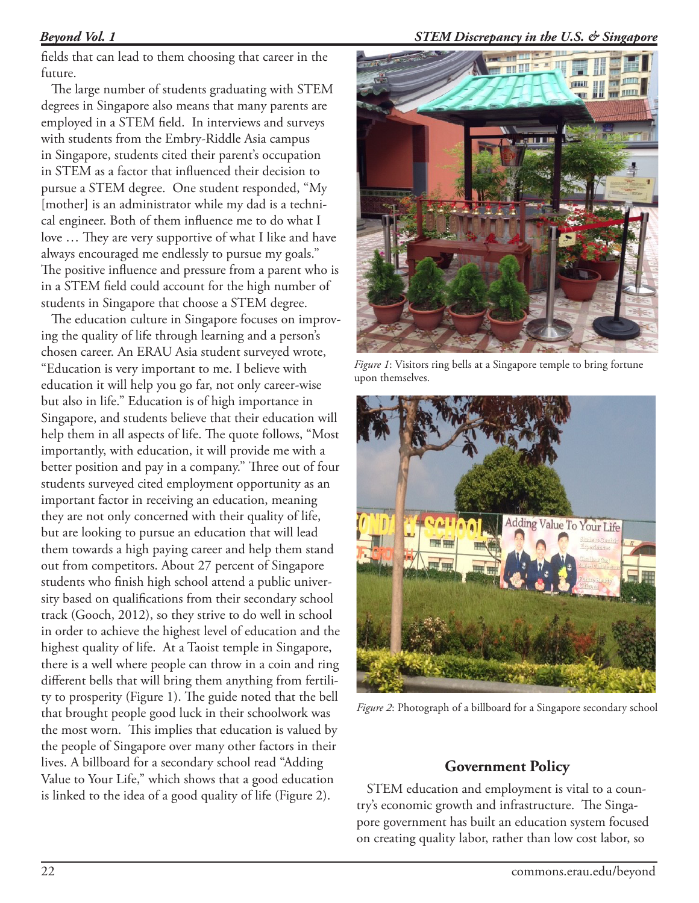#### *Beyond Vol. 1*

fields that can lead to them choosing that career in the future.

The large number of students graduating with STEM degrees in Singapore also means that many parents are employed in a STEM field. In interviews and surveys with students from the Embry-Riddle Asia campus in Singapore, students cited their parent's occupation in STEM as a factor that influenced their decision to pursue a STEM degree. One student responded, "My [mother] is an administrator while my dad is a technical engineer. Both of them influence me to do what I love … They are very supportive of what I like and have always encouraged me endlessly to pursue my goals." The positive influence and pressure from a parent who is in a STEM field could account for the high number of students in Singapore that choose a STEM degree.

The education culture in Singapore focuses on improving the quality of life through learning and a person's chosen career. An ERAU Asia student surveyed wrote, "Education is very important to me. I believe with education it will help you go far, not only career-wise but also in life." Education is of high importance in Singapore, and students believe that their education will help them in all aspects of life. The quote follows, "Most importantly, with education, it will provide me with a better position and pay in a company." Three out of four students surveyed cited employment opportunity as an important factor in receiving an education, meaning they are not only concerned with their quality of life, but are looking to pursue an education that will lead them towards a high paying career and help them stand out from competitors. About 27 percent of Singapore students who finish high school attend a public university based on qualifications from their secondary school track (Gooch, 2012), so they strive to do well in school in order to achieve the highest level of education and the highest quality of life. At a Taoist temple in Singapore, there is a well where people can throw in a coin and ring different bells that will bring them anything from fertility to prosperity (Figure 1). The guide noted that the bell that brought people good luck in their schoolwork was the most worn. This implies that education is valued by the people of Singapore over many other factors in their lives. A billboard for a secondary school read "Adding Value to Your Life," which shows that a good education is linked to the idea of a good quality of life (Figure 2).



*Figure 1*: Visitors ring bells at a Singapore temple to bring fortune upon themselves.



*Figure 2*: Photograph of a billboard for a Singapore secondary school

# **Government Policy**

STEM education and employment is vital to a country's economic growth and infrastructure. The Singapore government has built an education system focused on creating quality labor, rather than low cost labor, so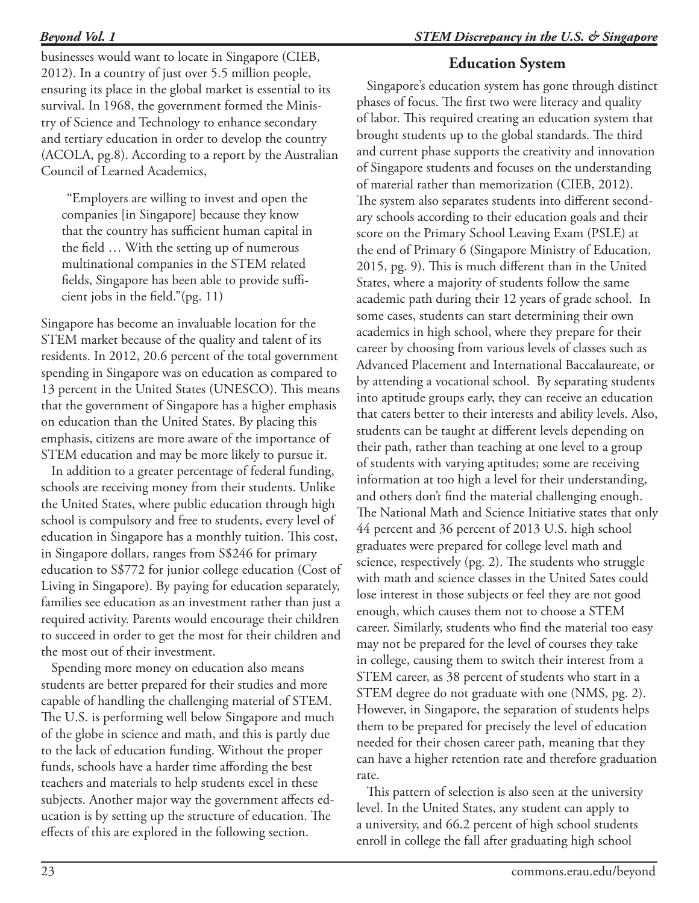## *STEM Discrepancy in the U.S. & Singapore*

# *Beyond Vol. 1*

businesses would want to locate in Singapore (CIEB, 2012). In a country of just over 5.5 million people, ensuring its place in the global market is essential to its survival. In 1968, the government formed the Ministry of Science and Technology to enhance secondary and tertiary education in order to develop the country (ACOLA, pg.8). According to a report by the Australian Council of Learned Academics,

"Employers are willing to invest and open the companies [in Singapore] because they know that the country has sufficient human capital in the field … With the setting up of numerous multinational companies in the STEM related fields, Singapore has been able to provide sufficient jobs in the field."(pg. 11)

Singapore has become an invaluable location for the STEM market because of the quality and talent of its residents. In 2012, 20.6 percent of the total government spending in Singapore was on education as compared to 13 percent in the United States (UNESCO). This means that the government of Singapore has a higher emphasis on education than the United States. By placing this emphasis, citizens are more aware of the importance of STEM education and may be more likely to pursue it.

In addition to a greater percentage of federal funding, schools are receiving money from their students. Unlike the United States, where public education through high school is compulsory and free to students, every level of education in Singapore has a monthly tuition. This cost, in Singapore dollars, ranges from S\$246 for primary education to S\$772 for junior college education (Cost of Living in Singapore). By paying for education separately, families see education as an investment rather than just a required activity. Parents would encourage their children to succeed in order to get the most for their children and the most out of their investment.

Spending more money on education also means students are better prepared for their studies and more capable of handling the challenging material of STEM. The U.S. is performing well below Singapore and much of the globe in science and math, and this is partly due to the lack of education funding. Without the proper funds, schools have a harder time affording the best teachers and materials to help students excel in these subjects. Another major way the government affects education is by setting up the structure of education. The effects of this are explored in the following section.

# **Education System**

Singapore's education system has gone through distinct phases of focus. The first two were literacy and quality of labor. This required creating an education system that brought students up to the global standards. The third and current phase supports the creativity and innovation of Singapore students and focuses on the understanding of material rather than memorization (CIEB, 2012). The system also separates students into different secondary schools according to their education goals and their score on the Primary School Leaving Exam (PSLE) at the end of Primary 6 (Singapore Ministry of Education, 2015, pg. 9). This is much different than in the United States, where a majority of students follow the same academic path during their 12 years of grade school. In some cases, students can start determining their own academics in high school, where they prepare for their career by choosing from various levels of classes such as Advanced Placement and International Baccalaureate, or by attending a vocational school. By separating students into aptitude groups early, they can receive an education that caters better to their interests and ability levels. Also, students can be taught at different levels depending on their path, rather than teaching at one level to a group of students with varying aptitudes; some are receiving information at too high a level for their understanding, and others don't find the material challenging enough. The National Math and Science Initiative states that only 44 percent and 36 percent of 2013 U.S. high school graduates were prepared for college level math and science, respectively (pg. 2). The students who struggle with math and science classes in the United Sates could lose interest in those subjects or feel they are not good enough, which causes them not to choose a STEM career. Similarly, students who find the material too easy may not be prepared for the level of courses they take in college, causing them to switch their interest from a STEM career, as 38 percent of students who start in a STEM degree do not graduate with one (NMS, pg. 2). However, in Singapore, the separation of students helps them to be prepared for precisely the level of education needed for their chosen career path, meaning that they can have a higher retention rate and therefore graduation rate.

This pattern of selection is also seen at the university level. In the United States, any student can apply to a university, and 66.2 percent of high school students enroll in college the fall after graduating high school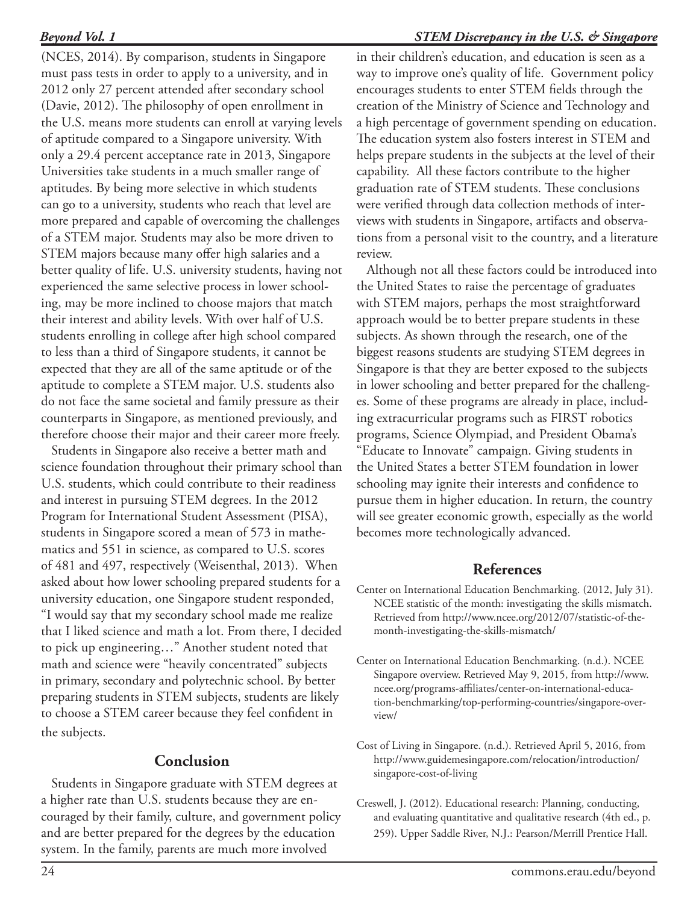(NCES, 2014). By comparison, students in Singapore must pass tests in order to apply to a university, and in 2012 only 27 percent attended after secondary school (Davie, 2012). The philosophy of open enrollment in the U.S. means more students can enroll at varying levels of aptitude compared to a Singapore university. With only a 29.4 percent acceptance rate in 2013, Singapore Universities take students in a much smaller range of aptitudes. By being more selective in which students can go to a university, students who reach that level are more prepared and capable of overcoming the challenges of a STEM major. Students may also be more driven to STEM majors because many offer high salaries and a better quality of life. U.S. university students, having not experienced the same selective process in lower schooling, may be more inclined to choose majors that match their interest and ability levels. With over half of U.S. students enrolling in college after high school compared to less than a third of Singapore students, it cannot be expected that they are all of the same aptitude or of the aptitude to complete a STEM major. U.S. students also do not face the same societal and family pressure as their counterparts in Singapore, as mentioned previously, and therefore choose their major and their career more freely.

Students in Singapore also receive a better math and science foundation throughout their primary school than U.S. students, which could contribute to their readiness and interest in pursuing STEM degrees. In the 2012 Program for International Student Assessment (PISA), students in Singapore scored a mean of 573 in mathematics and 551 in science, as compared to U.S. scores of 481 and 497, respectively (Weisenthal, 2013). When asked about how lower schooling prepared students for a university education, one Singapore student responded, "I would say that my secondary school made me realize that I liked science and math a lot. From there, I decided to pick up engineering…" Another student noted that math and science were "heavily concentrated" subjects in primary, secondary and polytechnic school. By better preparing students in STEM subjects, students are likely to choose a STEM career because they feel confident in the subjects.

# **Conclusion**

Students in Singapore graduate with STEM degrees at a higher rate than U.S. students because they are encouraged by their family, culture, and government policy and are better prepared for the degrees by the education system. In the family, parents are much more involved

in their children's education, and education is seen as a way to improve one's quality of life. Government policy encourages students to enter STEM fields through the creation of the Ministry of Science and Technology and a high percentage of government spending on education. The education system also fosters interest in STEM and helps prepare students in the subjects at the level of their capability. All these factors contribute to the higher graduation rate of STEM students. These conclusions were verified through data collection methods of interviews with students in Singapore, artifacts and observations from a personal visit to the country, and a literature review.

Although not all these factors could be introduced into the United States to raise the percentage of graduates with STEM majors, perhaps the most straightforward approach would be to better prepare students in these subjects. As shown through the research, one of the biggest reasons students are studying STEM degrees in Singapore is that they are better exposed to the subjects in lower schooling and better prepared for the challenges. Some of these programs are already in place, including extracurricular programs such as FIRST robotics programs, Science Olympiad, and President Obama's "Educate to Innovate" campaign. Giving students in the United States a better STEM foundation in lower schooling may ignite their interests and confidence to pursue them in higher education. In return, the country will see greater economic growth, especially as the world becomes more technologically advanced.

## **References**

- Center on International Education Benchmarking. (2012, July 31). NCEE statistic of the month: investigating the skills mismatch. Retrieved from http://www.ncee.org/2012/07/statistic-of-themonth-investigating-the-skills-mismatch/
- Center on International Education Benchmarking. (n.d.). NCEE Singapore overview. Retrieved May 9, 2015, from http://www. ncee.org/programs-affiliates/center-on-international-education-benchmarking/top-performing-countries/singapore-overview/
- Cost of Living in Singapore. (n.d.). Retrieved April 5, 2016, from http://www.guidemesingapore.com/relocation/introduction/ singapore-cost-of-living
- Creswell, J. (2012). Educational research: Planning, conducting, and evaluating quantitative and qualitative research (4th ed., p. 259). Upper Saddle River, N.J.: Pearson/Merrill Prentice Hall.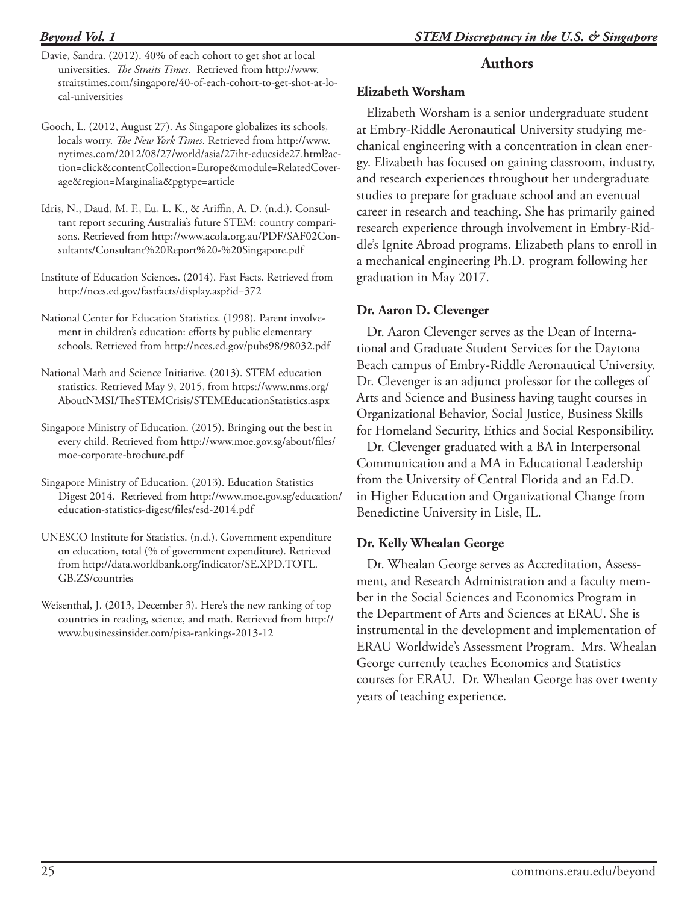## *Beyond Vol. 1*

- Davie, Sandra. (2012). 40% of each cohort to get shot at local universities. *The Straits Times*. Retrieved from http://www. straitstimes.com/singapore/40-of-each-cohort-to-get-shot-at-local-universities
- Gooch, L. (2012, August 27). As Singapore globalizes its schools, locals worry. *The New York Times*. Retrieved from http://www. nytimes.com/2012/08/27/world/asia/27iht-educside27.html?action=click&contentCollection=Europe&module=RelatedCoverage&region=Marginalia&pgtype=article
- Idris, N., Daud, M. F., Eu, L. K., & Ariffin, A. D. (n.d.). Consultant report securing Australia's future STEM: country comparisons. Retrieved from http://www.acola.org.au/PDF/SAF02Consultants/Consultant%20Report%20-%20Singapore.pd[f](http://www.acola.org.au/PDF/SAF02Consultants/Consultant%20Report%20-%20Singapore.pdf )
- Institute of Education Sciences. (2014). Fast Facts. Retrieved from http://nces.ed.gov/fastfacts/display.asp?id=372
- National Center for Education Statistics. (1998). Parent involvement in children's education: efforts by public elementary schools. Retrieved from http://nces.ed.gov/pubs98/98032.pdf
- National Math and Science Initiative. (2013). STEM education statistics. Retrieved May 9, 2015, from https://www.nms.org/ AboutNMSI/TheSTEMCrisis/STEMEducationStatistics.aspx
- Singapore Ministry of Education. (2015). Bringing out the best in every child. Retrieved from http://www.moe.gov.sg/about/files/ moe-corporate-brochure.pdf
- Singapore Ministry of Education. (2013). Education Statistics Digest 2014. Retrieved from http://www.moe.gov.sg/education/ education-statistics-digest/files/esd-2014.pdf
- UNESCO Institute for Statistics. (n.d.). Government expenditure on education, total (% of government expenditure). Retrieved from http://data.[w](http://data.worldbank.org/indicator/SE.XPD.TOTL.GB.ZS/countries )orldbank.org/indicator/SE.XPD.TOTL. GB.ZS/countries
- Weisenthal, J. (2013, December 3). Here's the new ranking of top countries in reading, science, and math. Retrieved from http:// www.businessinsider.com/pisa-rankings-2013-1[2](http://www.businessinsider.com/pisa-rankings-2013-12 )

# **Authors**

#### **Elizabeth Worsham**

Elizabeth Worsham is a senior undergraduate student at Embry-Riddle Aeronautical University studying mechanical engineering with a concentration in clean energy. Elizabeth has focused on gaining classroom, industry, and research experiences throughout her undergraduate studies to prepare for graduate school and an eventual career in research and teaching. She has primarily gained research experience through involvement in Embry-Riddle's Ignite Abroad programs. Elizabeth plans to enroll in a mechanical engineering Ph.D. program following her graduation in May 2017.

#### **Dr. Aaron D. Clevenger**

Dr. Aaron Clevenger serves as the Dean of International and Graduate Student Services for the Daytona Beach campus of Embry-Riddle Aeronautical University. Dr. Clevenger is an adjunct professor for the colleges of Arts and Science and Business having taught courses in Organizational Behavior, Social Justice, Business Skills for Homeland Security, Ethics and Social Responsibility.

Dr. Clevenger graduated with a BA in Interpersonal Communication and a MA in Educational Leadership from the University of Central Florida and an Ed.D. in Higher Education and Organizational Change from Benedictine University in Lisle, IL.

#### **Dr. Kelly Whealan George**

Dr. Whealan George serves as Accreditation, Assessment, and Research Administration and a faculty member in the Social Sciences and Economics Program in the Department of Arts and Sciences at ERAU. She is instrumental in the development and implementation of ERAU Worldwide's Assessment Program. Mrs. Whealan George currently teaches Economics and Statistics courses for ERAU. Dr. Whealan George has over twenty years of teaching experience.